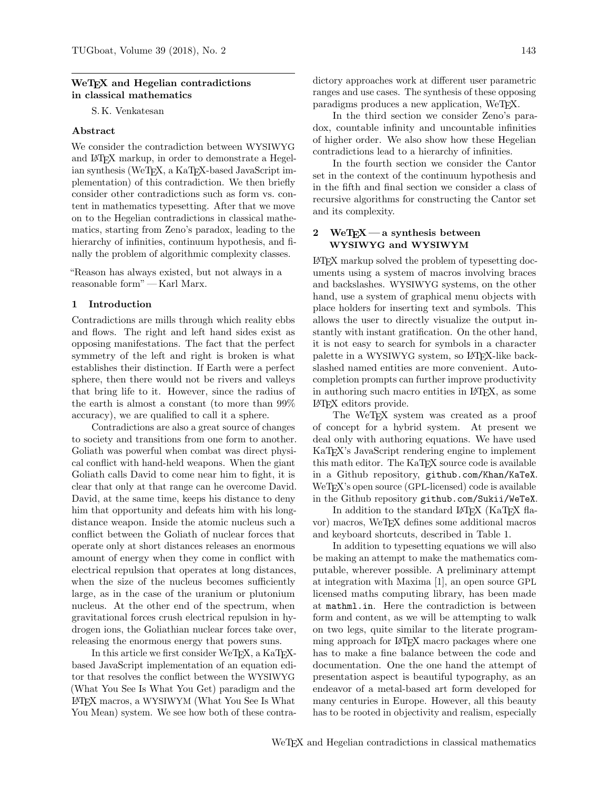#### WeT<sub>EX</sub> and Hegelian contradictions in classical mathematics

S. K. Venkatesan

### Abstract

We consider the contradiction between WYSIWYG and LATEX markup, in order to demonstrate a Hegelian synthesis (WeTFX, a KaTFX-based JavaScript implementation) of this contradiction. We then briefly consider other contradictions such as form vs. content in mathematics typesetting. After that we move on to the Hegelian contradictions in classical mathematics, starting from Zeno's paradox, leading to the hierarchy of infinities, continuum hypothesis, and finally the problem of algorithmic complexity classes.

"Reason has always existed, but not always in a reasonable form" — Karl Marx.

#### 1 Introduction

Contradictions are mills through which reality ebbs and flows. The right and left hand sides exist as opposing manifestations. The fact that the perfect symmetry of the left and right is broken is what establishes their distinction. If Earth were a perfect sphere, then there would not be rivers and valleys that bring life to it. However, since the radius of the earth is almost a constant (to more than 99% accuracy), we are qualified to call it a sphere.

Contradictions are also a great source of changes to society and transitions from one form to another. Goliath was powerful when combat was direct physical conflict with hand-held weapons. When the giant Goliath calls David to come near him to fight, it is clear that only at that range can he overcome David. David, at the same time, keeps his distance to deny him that opportunity and defeats him with his longdistance weapon. Inside the atomic nucleus such a conflict between the Goliath of nuclear forces that operate only at short distances releases an enormous amount of energy when they come in conflict with electrical repulsion that operates at long distances, when the size of the nucleus becomes sufficiently large, as in the case of the uranium or plutonium nucleus. At the other end of the spectrum, when gravitational forces crush electrical repulsion in hydrogen ions, the Goliathian nuclear forces take over, releasing the enormous energy that powers suns.

In this article we first consider WeT<sub>F</sub>X, a KaT<sub>F</sub>Xbased JavaScript implementation of an equation editor that resolves the conflict between the WYSIWYG (What You See Is What You Get) paradigm and the LATEX macros, a WYSIWYM (What You See Is What You Mean) system. We see how both of these contradictory approaches work at different user parametric ranges and use cases. The synthesis of these opposing paradigms produces a new application, WeTEX.

In the third section we consider Zeno's paradox, countable infinity and uncountable infinities of higher order. We also show how these Hegelian contradictions lead to a hierarchy of infinities.

In the fourth section we consider the Cantor set in the context of the continuum hypothesis and in the fifth and final section we consider a class of recursive algorithms for constructing the Cantor set and its complexity.

#### 2 WeT $\chi$  — a synthesis between WYSIWYG and WYSIWYM

LATEX markup solved the problem of typesetting documents using a system of macros involving braces and backslashes. WYSIWYG systems, on the other hand, use a system of graphical menu objects with place holders for inserting text and symbols. This allows the user to directly visualize the output instantly with instant gratification. On the other hand, it is not easy to search for symbols in a character palette in a WYSIWYG system, so LAT<sub>EX</sub>-like backslashed named entities are more convenient. Autocompletion prompts can further improve productivity in authoring such macro entities in LATEX, as some LATEX editors provide.

The WeTEX system was created as a proof of concept for a hybrid system. At present we deal only with authoring equations. We have used KaTEX's JavaScript rendering engine to implement this math editor. The KaTEX source code is available in a Github repository, github.com/Khan/KaTeX. WeTEX's open source (GPL-licensed) code is available in the Github repository github.com/Sukii/WeTeX.

In addition to the standard LAT<sub>EX</sub> (KaT<sub>EX</sub> flavor) macros, WeTEX defines some additional macros and keyboard shortcuts, described in Table 1.

In addition to typesetting equations we will also be making an attempt to make the mathematics computable, wherever possible. A preliminary attempt at integration with Maxima [1], an open source GPL licensed maths computing library, has been made at mathml.in. Here the contradiction is between form and content, as we will be attempting to walk on two legs, quite similar to the literate programming approach for LAT<sub>EX</sub> macro packages where one has to make a fine balance between the code and documentation. One the one hand the attempt of presentation aspect is beautiful typography, as an endeavor of a metal-based art form developed for many centuries in Europe. However, all this beauty has to be rooted in objectivity and realism, especially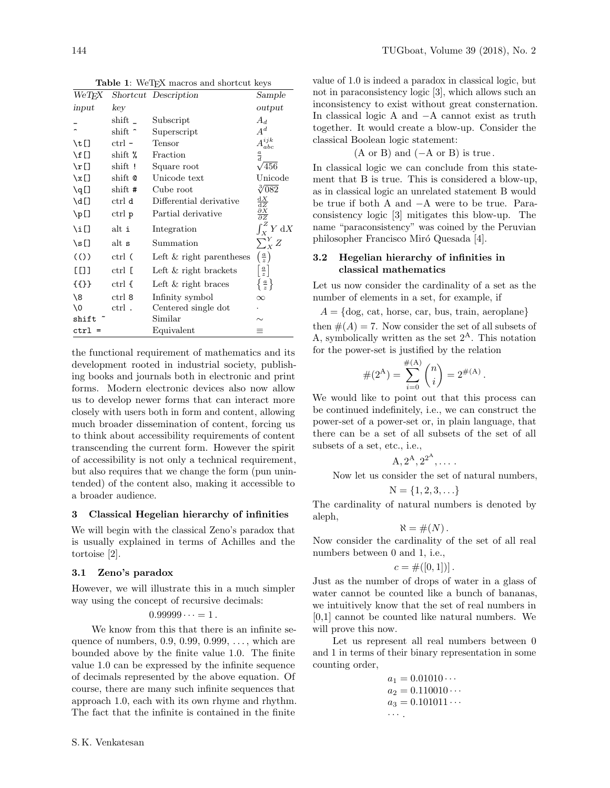| $WeT\!F\!X$      |                | Shortcut Description       | Sample                                 |
|------------------|----------------|----------------------------|----------------------------------------|
| input            | key            |                            | output                                 |
|                  | $\text{shift}$ | Subscript                  | $A_d$                                  |
|                  | shift ~        | Superscript                | $A^d$                                  |
| \t[]             | $ctrl -$       | Tensor                     | $A^{\:\!ijk}$<br>abc                   |
| $\setminus f$ [] | shift $%$      | Fraction                   | $\frac{a}{d}$                          |
| $\n\pi$ []       | shift!         | Square root                | $\sqrt{456}$                           |
| $\chi$ []        | shift @        | Unicode text               | Unicode                                |
| $\qquadq$        | shift #        | Cube root                  | $\sqrt[3]{082}$                        |
| $\mathcal{A}$ [] | ctrl d         | Differential derivative    | $\frac{\mathrm{d}X}{\mathrm{d}Z}$      |
| $\mathcal{L}$ [] | ctrl p         | Partial derivative         | $\frac{\partial X}{\partial Z}$        |
| \i[]             | alt i          | Integration                | $\int_X^Z Y dX$                        |
| $\square$        | alt s          | Summation                  | $\sum_{X}^{Y} Z$                       |
| (()              | ctrl (         | Left $&$ right parentheses | $\left(\frac{a}{z}\right)$             |
| E EO O           | ctrl [         | Left $\&$ right brackets   | $\left\lceil \frac{a}{z} \right\rceil$ |
| {{}}             | ctrl {         | Left $\&$ right braces     | $\left\{\frac{a}{z}\right\}$           |
| \8               | ctrl 8         | Infinity symbol            | $\infty$                               |
| 10               | ctrl.          | Centered single dot        |                                        |
| shift            |                | Similar                    | $\sim$                                 |
| $ctr1 =$         |                | Equivalent                 | $\equiv$                               |

Table 1: WeTEX macros and shortcut keys

the functional requirement of mathematics and its development rooted in industrial society, publishing books and journals both in electronic and print forms. Modern electronic devices also now allow us to develop newer forms that can interact more closely with users both in form and content, allowing much broader dissemination of content, forcing us to think about accessibility requirements of content transcending the current form. However the spirit of accessibility is not only a technical requirement, but also requires that we change the form (pun unintended) of the content also, making it accessible to a broader audience.

### 3 Classical Hegelian hierarchy of infinities

We will begin with the classical Zeno's paradox that is usually explained in terms of Achilles and the tortoise [2].

### 3.1 Zeno's paradox

However, we will illustrate this in a much simpler way using the concept of recursive decimals:

$$
0.99999\cdots=1.
$$

We know from this that there is an infinite sequence of numbers, 0.9, 0.99, 0.999, ..., which are bounded above by the finite value 1.0. The finite value 1.0 can be expressed by the infinite sequence of decimals represented by the above equation. Of course, there are many such infinite sequences that approach 1.0, each with its own rhyme and rhythm. The fact that the infinite is contained in the finite

value of 1.0 is indeed a paradox in classical logic, but not in paraconsistency logic [3], which allows such an inconsistency to exist without great consternation. In classical logic A and −A cannot exist as truth together. It would create a blow-up. Consider the classical Boolean logic statement:

$$
(A \text{ or } B)
$$
 and  $(-A \text{ or } B)$  is true.

In classical logic we can conclude from this statement that B is true. This is considered a blow-up, as in classical logic an unrelated statement B would be true if both A and −A were to be true. Paraconsistency logic [3] mitigates this blow-up. The name "paraconsistency" was coined by the Peruvian philosopher Francisco Miró Quesada [4].

# 3.2 Hegelian hierarchy of infinities in classical mathematics

Let us now consider the cardinality of a set as the number of elements in a set, for example, if

 $A = \{ \text{dog}, \text{cat}, \text{horse}, \text{car}, \text{bus}, \text{train}, \text{aeroplane} \}$ 

then  $#(A) = 7$ . Now consider the set of all subsets of A, symbolically written as the set  $2^{\rm A}$ . This notation for the power-set is justified by the relation

$$
#(2^{A}) = \sum_{i=0}^{#(A)} {n \choose i} = 2^{#(A)}.
$$

We would like to point out that this process can be continued indefinitely, i.e., we can construct the power-set of a power-set or, in plain language, that there can be a set of all subsets of the set of all subsets of a set, etc., i.e.,

$$
A, 2^A, 2^{2^A}, \dots.
$$

Now let us consider the set of natural numbers,

$$
N = \{1,2,3,\ldots\}
$$

The cardinality of natural numbers is denoted by aleph,

$$
\aleph = \#(N)\,.
$$

Now consider the cardinality of the set of all real numbers between 0 and 1, i.e.,

$$
c = \#([0,1])].
$$

Just as the number of drops of water in a glass of water cannot be counted like a bunch of bananas, we intuitively know that the set of real numbers in [0,1] cannot be counted like natural numbers. We will prove this now.

Let us represent all real numbers between 0 and 1 in terms of their binary representation in some counting order,

$$
a_1 = 0.01010 \cdots a_2 = 0.110010 \cdots a_3 = 0.101011 \cdots \cdots
$$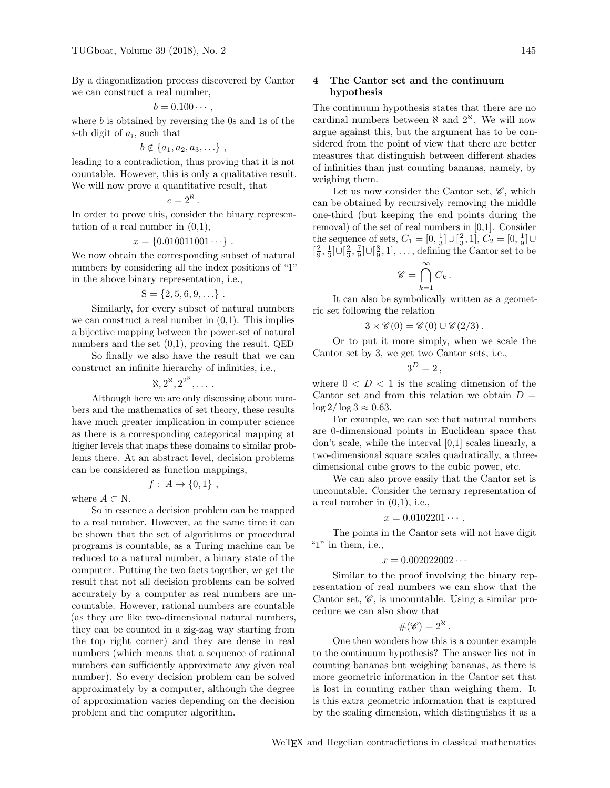By a diagonalization process discovered by Cantor we can construct a real number,

$$
b=0.100\cdots,
$$

where  $b$  is obtained by reversing the 0s and 1s of the *i*-th digit of  $a_i$ , such that

$$
b \notin \{a_1, a_2, a_3, \ldots\} ,
$$

leading to a contradiction, thus proving that it is not countable. However, this is only a qualitative result. We will now prove a quantitative result, that

$$
c=2^{\aleph}.
$$

In order to prove this, consider the binary representation of a real number in  $(0,1)$ ,

$$
x = \{0.010011001 \cdots \}.
$$

We now obtain the corresponding subset of natural numbers by considering all the index positions of "1" in the above binary representation, i.e.,

$$
S = \{2, 5, 6, 9, \ldots\}.
$$

Similarly, for every subset of natural numbers we can construct a real number in  $(0,1)$ . This implies a bijective mapping between the power-set of natural numbers and the set (0,1), proving the result. QED

So finally we also have the result that we can construct an infinite hierarchy of infinities, i.e.,

 $\aleph, 2^{\aleph}, 2^{2^{\aleph}}, \ldots$  .

Although here we are only discussing about numbers and the mathematics of set theory, these results have much greater implication in computer science as there is a corresponding categorical mapping at higher levels that maps these domains to similar problems there. At an abstract level, decision problems can be considered as function mappings,

$$
f: A \to \{0,1\} ,
$$

where  $A \subset N$ .

So in essence a decision problem can be mapped to a real number. However, at the same time it can be shown that the set of algorithms or procedural programs is countable, as a Turing machine can be reduced to a natural number, a binary state of the computer. Putting the two facts together, we get the result that not all decision problems can be solved accurately by a computer as real numbers are uncountable. However, rational numbers are countable (as they are like two-dimensional natural numbers, they can be counted in a zig-zag way starting from the top right corner) and they are dense in real numbers (which means that a sequence of rational numbers can sufficiently approximate any given real number). So every decision problem can be solved approximately by a computer, although the degree of approximation varies depending on the decision problem and the computer algorithm.

## 4 The Cantor set and the continuum hypothesis

The continuum hypothesis states that there are no cardinal numbers between  $\aleph$  and  $2^{\aleph}$ . We will now argue against this, but the argument has to be considered from the point of view that there are better measures that distinguish between different shades of infinities than just counting bananas, namely, by weighing them.

Let us now consider the Cantor set,  $\mathscr{C}$ , which can be obtained by recursively removing the middle one-third (but keeping the end points during the removal) of the set of real numbers in [0,1]. Consider the sequence of sets,  $C_1 = [0, \frac{1}{3}] \cup [\frac{2}{3}, 1], C_2 = [0, \frac{1}{9}] \cup$  $\left[\frac{2}{9},\frac{1}{3}\right] \cup \left[\frac{2}{3},\frac{7}{9}\right] \cup \left[\frac{8}{9},1\right], \ldots$ , defining the Cantor set to be

$$
\mathscr{C} = \bigcap_{k=1}^{\infty} C_k.
$$

It can also be symbolically written as a geometric set following the relation

$$
3 \times \mathscr{C}(0) = \mathscr{C}(0) \cup \mathscr{C}(2/3).
$$

Or to put it more simply, when we scale the Cantor set by 3, we get two Cantor sets, i.e.,

$$
3^D=2\,,
$$

where  $0 < D < 1$  is the scaling dimension of the Cantor set and from this relation we obtain  $D =$  $\log 2/\log 3 \approx 0.63$ .

For example, we can see that natural numbers are 0-dimensional points in Euclidean space that don't scale, while the interval [0,1] scales linearly, a two-dimensional square scales quadratically, a threedimensional cube grows to the cubic power, etc.

We can also prove easily that the Cantor set is uncountable. Consider the ternary representation of a real number in  $(0,1)$ , i.e.,

$$
x=0.0102201\cdots.
$$

The points in the Cantor sets will not have digit " $1$ " in them, i.e.,

$$
x=0.002022002\cdots
$$

Similar to the proof involving the binary representation of real numbers we can show that the Cantor set,  $\mathscr{C}$ , is uncountable. Using a similar procedure we can also show that

$$
\#(\mathscr{C})=2^{\aleph}.
$$

One then wonders how this is a counter example to the continuum hypothesis? The answer lies not in counting bananas but weighing bananas, as there is more geometric information in the Cantor set that is lost in counting rather than weighing them. It is this extra geometric information that is captured by the scaling dimension, which distinguishes it as a